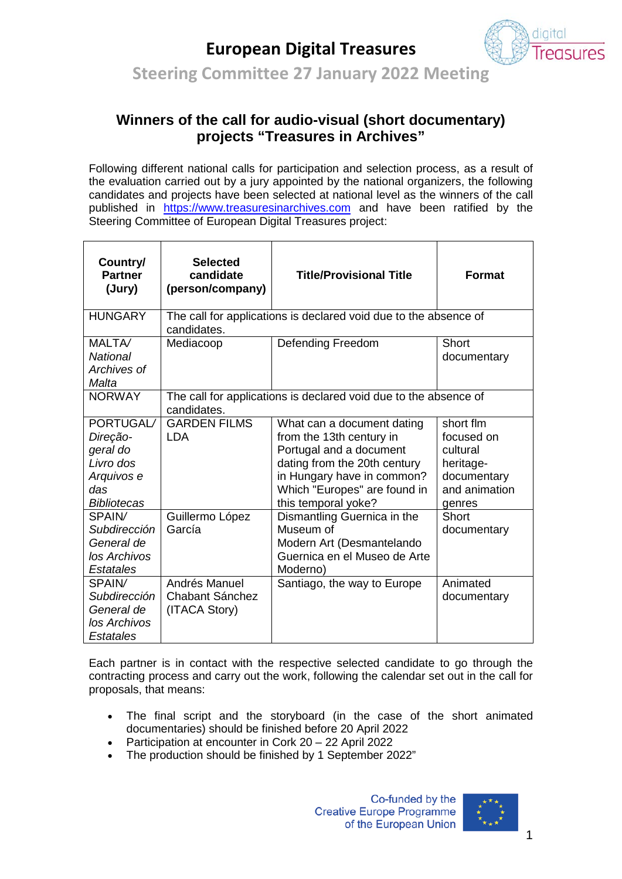## **European Digital Treasures**



**Steering Committee 27 January 2022 Meeting**

## **Winners of the call for audio-visual (short documentary) projects "Treasures in Archives"**

Following different national calls for participation and selection process, as a result of the evaluation carried out by a jury appointed by the national organizers, the following candidates and projects have been selected at national level as the winners of the call published in [https://www.treasuresinarchives.com](https://www.treasuresinarchives.com/) and have been ratified by the Steering Committee of European Digital Treasures project:

| Country/<br><b>Partner</b><br>(Jury)                                                      | <b>Selected</b><br>candidate<br>(person/company)                                | <b>Title/Provisional Title</b>                                                                                                                                                                         | <b>Format</b>                                                                              |
|-------------------------------------------------------------------------------------------|---------------------------------------------------------------------------------|--------------------------------------------------------------------------------------------------------------------------------------------------------------------------------------------------------|--------------------------------------------------------------------------------------------|
| <b>HUNGARY</b>                                                                            | The call for applications is declared void due to the absence of<br>candidates. |                                                                                                                                                                                                        |                                                                                            |
| MALTA/<br><b>National</b><br>Archives of<br>Malta                                         | Mediacoop                                                                       | Defending Freedom                                                                                                                                                                                      | Short<br>documentary                                                                       |
| <b>NORWAY</b>                                                                             | The call for applications is declared void due to the absence of<br>candidates. |                                                                                                                                                                                                        |                                                                                            |
| PORTUGAL/<br>Direção-<br>geral do<br>Livro dos<br>Arquivos e<br>das<br><b>Bibliotecas</b> | <b>GARDEN FILMS</b><br><b>LDA</b>                                               | What can a document dating<br>from the 13th century in<br>Portugal and a document<br>dating from the 20th century<br>in Hungary have in common?<br>Which "Europes" are found in<br>this temporal yoke? | short flm<br>focused on<br>cultural<br>heritage-<br>documentary<br>and animation<br>genres |
| SPAIN/<br><b>Subdirección</b><br>General de<br>los Archivos<br><b>Estatales</b>           | Guillermo López<br>García                                                       | Dismantling Guernica in the<br>Museum of<br>Modern Art (Desmantelando<br>Guernica en el Museo de Arte<br>Moderno)                                                                                      | Short<br>documentary                                                                       |
| SPAIN/<br>Subdirección<br>General de<br>los Archivos<br>Estatales                         | Andrés Manuel<br>Chabant Sánchez<br>(ITACA Story)                               | Santiago, the way to Europe                                                                                                                                                                            | Animated<br>documentary                                                                    |

Each partner is in contact with the respective selected candidate to go through the contracting process and carry out the work, following the calendar set out in the call for proposals, that means:

- The final script and the storyboard (in the case of the short animated documentaries) should be finished before 20 April 2022
- Participation at encounter in Cork 20 22 April 2022
- The production should be finished by 1 September 2022"